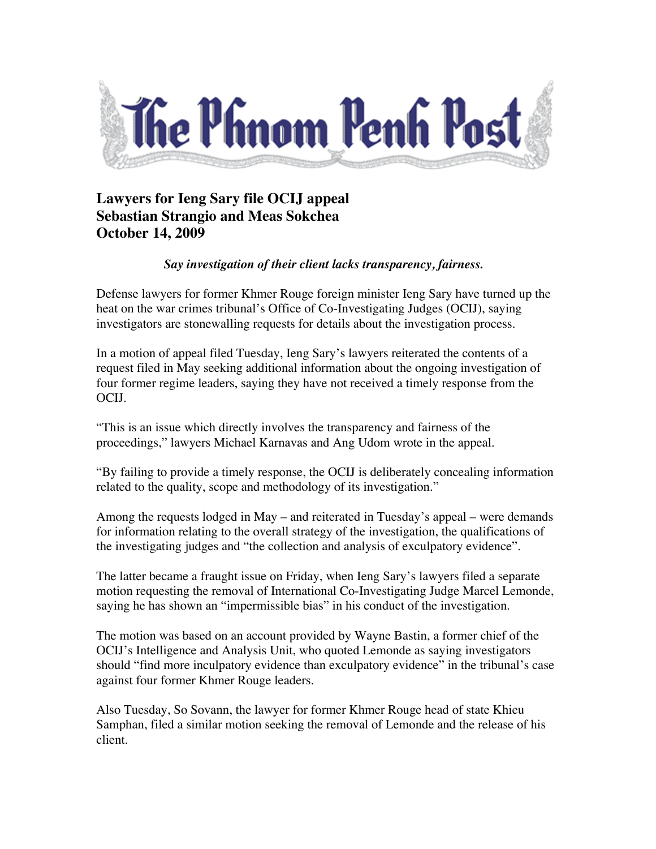

## **Lawyers for Ieng Sary file OCIJ appeal Sebastian Strangio and Meas Sokchea October 14, 2009**

## *Say investigation of their client lacks transparency, fairness.*

Defense lawyers for former Khmer Rouge foreign minister Ieng Sary have turned up the heat on the war crimes tribunal's Office of Co-Investigating Judges (OCIJ), saying investigators are stonewalling requests for details about the investigation process.

In a motion of appeal filed Tuesday, Ieng Sary's lawyers reiterated the contents of a request filed in May seeking additional information about the ongoing investigation of four former regime leaders, saying they have not received a timely response from the OCIJ.

"This is an issue which directly involves the transparency and fairness of the proceedings," lawyers Michael Karnavas and Ang Udom wrote in the appeal.

"By failing to provide a timely response, the OCIJ is deliberately concealing information related to the quality, scope and methodology of its investigation."

Among the requests lodged in May – and reiterated in Tuesday's appeal – were demands for information relating to the overall strategy of the investigation, the qualifications of the investigating judges and "the collection and analysis of exculpatory evidence".

The latter became a fraught issue on Friday, when Ieng Sary's lawyers filed a separate motion requesting the removal of International Co-Investigating Judge Marcel Lemonde, saying he has shown an "impermissible bias" in his conduct of the investigation.

The motion was based on an account provided by Wayne Bastin, a former chief of the OCIJ's Intelligence and Analysis Unit, who quoted Lemonde as saying investigators should "find more inculpatory evidence than exculpatory evidence" in the tribunal's case against four former Khmer Rouge leaders.

Also Tuesday, So Sovann, the lawyer for former Khmer Rouge head of state Khieu Samphan, filed a similar motion seeking the removal of Lemonde and the release of his client.